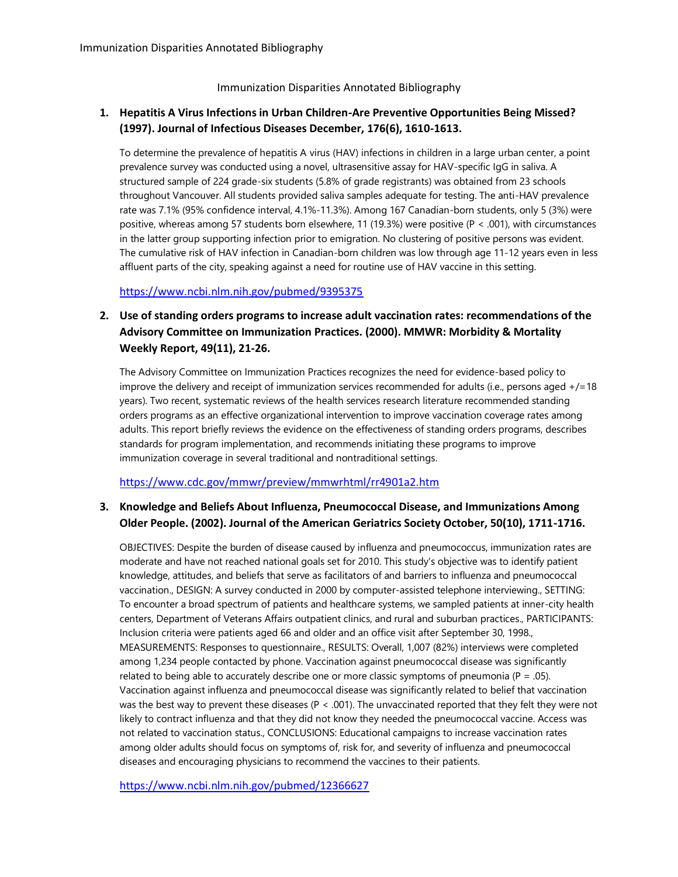#### Immunization Disparities Annotated Bibliography

### **1. Hepatitis A Virus Infections in Urban Children-Are Preventive Opportunities Being Missed? (1997). Journal of Infectious Diseases December, 176(6), 1610-1613.**

To determine the prevalence of hepatitis A virus (HAV) infections in children in a large urban center, a point prevalence survey was conducted using a novel, ultrasensitive assay for HAV-specific IgG in saliva. A structured sample of 224 grade-six students (5.8% of grade registrants) was obtained from 23 schools throughout Vancouver. All students provided saliva samples adequate for testing. The anti-HAV prevalence rate was 7.1% (95% confidence interval, 4.1%-11.3%). Among 167 Canadian-born students, only 5 (3%) were positive, whereas among 57 students born elsewhere, 11 (19.3%) were positive (P < .001), with circumstances in the latter group supporting infection prior to emigration. No clustering of positive persons was evident. The cumulative risk of HAV infection in Canadian-born children was low through age 11-12 years even in less affluent parts of the city, speaking against a need for routine use of HAV vaccine in this setting.

#### <https://www.ncbi.nlm.nih.gov/pubmed/9395375>

# **2. Use of standing orders programs to increase adult vaccination rates: recommendations of the Advisory Committee on Immunization Practices. (2000). MMWR: Morbidity & Mortality Weekly Report, 49(11), 21-26.**

The Advisory Committee on Immunization Practices recognizes the need for evidence-based policy to improve the delivery and receipt of immunization services recommended for adults (i.e., persons aged  $+/-18$ years). Two recent, systematic reviews of the health services research literature recommended standing orders programs as an effective organizational intervention to improve vaccination coverage rates among adults. This report briefly reviews the evidence on the effectiveness of standing orders programs, describes standards for program implementation, and recommends initiating these programs to improve immunization coverage in several traditional and nontraditional settings.

<https://www.cdc.gov/mmwr/preview/mmwrhtml/rr4901a2.htm>

## **3. Knowledge and Beliefs About Influenza, Pneumococcal Disease, and Immunizations Among Older People. (2002). Journal of the American Geriatrics Society October, 50(10), 1711-1716.**

OBJECTIVES: Despite the burden of disease caused by influenza and pneumococcus, immunization rates are moderate and have not reached national goals set for 2010. This study's objective was to identify patient knowledge, attitudes, and beliefs that serve as facilitators of and barriers to influenza and pneumococcal vaccination., DESIGN: A survey conducted in 2000 by computer-assisted telephone interviewing., SETTING: To encounter a broad spectrum of patients and healthcare systems, we sampled patients at inner-city health centers, Department of Veterans Affairs outpatient clinics, and rural and suburban practices., PARTICIPANTS: Inclusion criteria were patients aged 66 and older and an office visit after September 30, 1998., MEASUREMENTS: Responses to questionnaire., RESULTS: Overall, 1,007 (82%) interviews were completed among 1,234 people contacted by phone. Vaccination against pneumococcal disease was significantly related to being able to accurately describe one or more classic symptoms of pneumonia ( $P = .05$ ). Vaccination against influenza and pneumococcal disease was significantly related to belief that vaccination was the best way to prevent these diseases ( $P < .001$ ). The unvaccinated reported that they felt they were not likely to contract influenza and that they did not know they needed the pneumococcal vaccine. Access was not related to vaccination status., CONCLUSIONS: Educational campaigns to increase vaccination rates among older adults should focus on symptoms of, risk for, and severity of influenza and pneumococcal diseases and encouraging physicians to recommend the vaccines to their patients.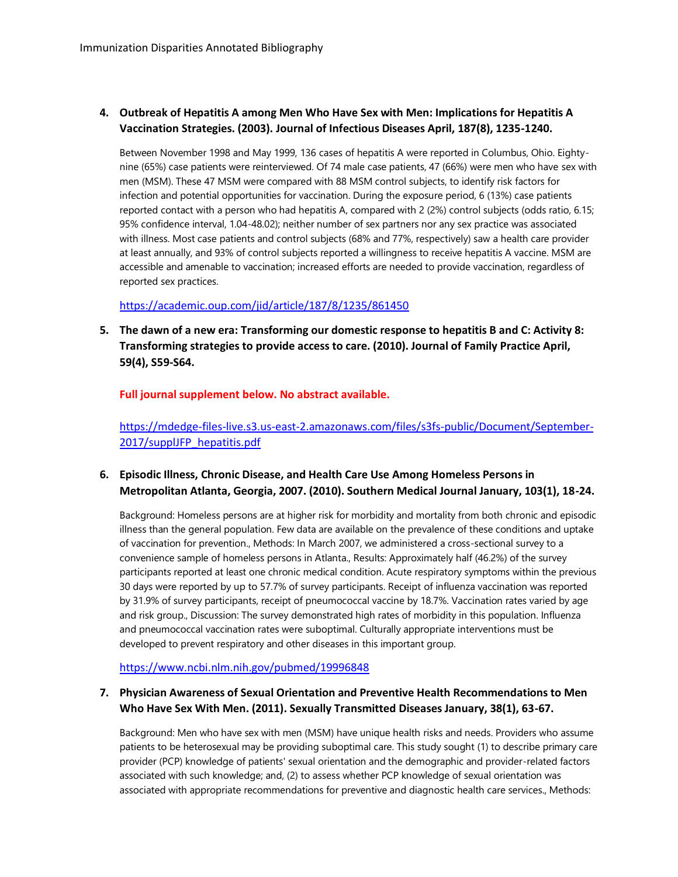## **4. Outbreak of Hepatitis A among Men Who Have Sex with Men: Implications for Hepatitis A Vaccination Strategies. (2003). Journal of Infectious Diseases April, 187(8), 1235-1240.**

Between November 1998 and May 1999, 136 cases of hepatitis A were reported in Columbus, Ohio. Eightynine (65%) case patients were reinterviewed. Of 74 male case patients, 47 (66%) were men who have sex with men (MSM). These 47 MSM were compared with 88 MSM control subjects, to identify risk factors for infection and potential opportunities for vaccination. During the exposure period, 6 (13%) case patients reported contact with a person who had hepatitis A, compared with 2 (2%) control subjects (odds ratio, 6.15; 95% confidence interval, 1.04-48.02); neither number of sex partners nor any sex practice was associated with illness. Most case patients and control subjects (68% and 77%, respectively) saw a health care provider at least annually, and 93% of control subjects reported a willingness to receive hepatitis A vaccine. MSM are accessible and amenable to vaccination; increased efforts are needed to provide vaccination, regardless of reported sex practices.

#### <https://academic.oup.com/jid/article/187/8/1235/861450>

**5. The dawn of a new era: Transforming our domestic response to hepatitis B and C: Activity 8: Transforming strategies to provide access to care. (2010). Journal of Family Practice April, 59(4), S59-S64.**

**Full journal supplement below. No abstract available.**

[https://mdedge-files-live.s3.us-east-2.amazonaws.com/files/s3fs-public/Document/September-](https://mdedge-files-live.s3.us-east-2.amazonaws.com/files/s3fs-public/Document/September-2017/supplJFP_hepatitis.pdf)[2017/supplJFP\\_hepatitis.pdf](https://mdedge-files-live.s3.us-east-2.amazonaws.com/files/s3fs-public/Document/September-2017/supplJFP_hepatitis.pdf)

# **6. Episodic Illness, Chronic Disease, and Health Care Use Among Homeless Persons in Metropolitan Atlanta, Georgia, 2007. (2010). Southern Medical Journal January, 103(1), 18-24.**

Background: Homeless persons are at higher risk for morbidity and mortality from both chronic and episodic illness than the general population. Few data are available on the prevalence of these conditions and uptake of vaccination for prevention., Methods: In March 2007, we administered a cross-sectional survey to a convenience sample of homeless persons in Atlanta., Results: Approximately half (46.2%) of the survey participants reported at least one chronic medical condition. Acute respiratory symptoms within the previous 30 days were reported by up to 57.7% of survey participants. Receipt of influenza vaccination was reported by 31.9% of survey participants, receipt of pneumococcal vaccine by 18.7%. Vaccination rates varied by age and risk group., Discussion: The survey demonstrated high rates of morbidity in this population. Influenza and pneumococcal vaccination rates were suboptimal. Culturally appropriate interventions must be developed to prevent respiratory and other diseases in this important group.

<https://www.ncbi.nlm.nih.gov/pubmed/19996848>

#### **7. Physician Awareness of Sexual Orientation and Preventive Health Recommendations to Men Who Have Sex With Men. (2011). Sexually Transmitted Diseases January, 38(1), 63-67.**

Background: Men who have sex with men (MSM) have unique health risks and needs. Providers who assume patients to be heterosexual may be providing suboptimal care. This study sought (1) to describe primary care provider (PCP) knowledge of patients' sexual orientation and the demographic and provider-related factors associated with such knowledge; and, (2) to assess whether PCP knowledge of sexual orientation was associated with appropriate recommendations for preventive and diagnostic health care services., Methods: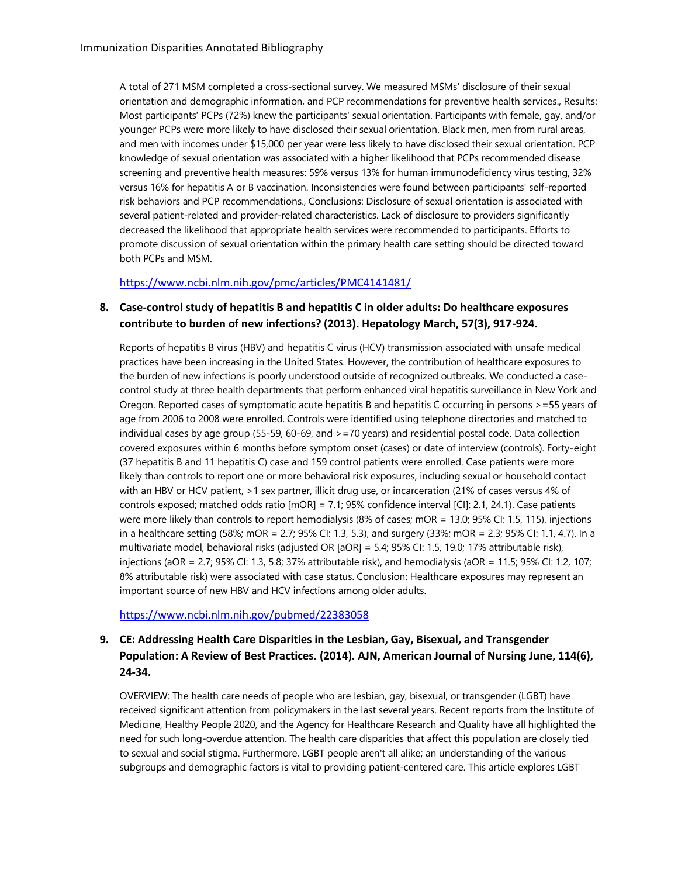A total of 271 MSM completed a cross-sectional survey. We measured MSMs' disclosure of their sexual orientation and demographic information, and PCP recommendations for preventive health services., Results: Most participants' PCPs (72%) knew the participants' sexual orientation. Participants with female, gay, and/or younger PCPs were more likely to have disclosed their sexual orientation. Black men, men from rural areas, and men with incomes under \$15,000 per year were less likely to have disclosed their sexual orientation. PCP knowledge of sexual orientation was associated with a higher likelihood that PCPs recommended disease screening and preventive health measures: 59% versus 13% for human immunodeficiency virus testing, 32% versus 16% for hepatitis A or B vaccination. Inconsistencies were found between participants' self-reported risk behaviors and PCP recommendations., Conclusions: Disclosure of sexual orientation is associated with several patient-related and provider-related characteristics. Lack of disclosure to providers significantly decreased the likelihood that appropriate health services were recommended to participants. Efforts to promote discussion of sexual orientation within the primary health care setting should be directed toward both PCPs and MSM.

#### <https://www.ncbi.nlm.nih.gov/pmc/articles/PMC4141481/>

#### **8. Case-control study of hepatitis B and hepatitis C in older adults: Do healthcare exposures contribute to burden of new infections? (2013). Hepatology March, 57(3), 917-924.**

Reports of hepatitis B virus (HBV) and hepatitis C virus (HCV) transmission associated with unsafe medical practices have been increasing in the United States. However, the contribution of healthcare exposures to the burden of new infections is poorly understood outside of recognized outbreaks. We conducted a casecontrol study at three health departments that perform enhanced viral hepatitis surveillance in New York and Oregon. Reported cases of symptomatic acute hepatitis B and hepatitis C occurring in persons >=55 years of age from 2006 to 2008 were enrolled. Controls were identified using telephone directories and matched to individual cases by age group (55-59, 60-69, and >=70 years) and residential postal code. Data collection covered exposures within 6 months before symptom onset (cases) or date of interview (controls). Forty-eight (37 hepatitis B and 11 hepatitis C) case and 159 control patients were enrolled. Case patients were more likely than controls to report one or more behavioral risk exposures, including sexual or household contact with an HBV or HCV patient, >1 sex partner, illicit drug use, or incarceration (21% of cases versus 4% of controls exposed; matched odds ratio [mOR] = 7.1; 95% confidence interval [CI]: 2.1, 24.1). Case patients were more likely than controls to report hemodialysis (8% of cases; mOR = 13.0; 95% CI: 1.5, 115), injections in a healthcare setting (58%; mOR = 2.7; 95% CI: 1.3, 5.3), and surgery (33%; mOR = 2.3; 95% CI: 1.1, 4.7). In a multivariate model, behavioral risks (adjusted OR [aOR] = 5.4; 95% CI: 1.5, 19.0; 17% attributable risk), injections (aOR = 2.7; 95% CI: 1.3, 5.8; 37% attributable risk), and hemodialysis (aOR = 11.5; 95% CI: 1.2, 107; 8% attributable risk) were associated with case status. Conclusion: Healthcare exposures may represent an important source of new HBV and HCV infections among older adults.

<https://www.ncbi.nlm.nih.gov/pubmed/22383058>

## **9. CE: Addressing Health Care Disparities in the Lesbian, Gay, Bisexual, and Transgender Population: A Review of Best Practices. (2014). AJN, American Journal of Nursing June, 114(6), 24-34.**

OVERVIEW: The health care needs of people who are lesbian, gay, bisexual, or transgender (LGBT) have received significant attention from policymakers in the last several years. Recent reports from the Institute of Medicine, Healthy People 2020, and the Agency for Healthcare Research and Quality have all highlighted the need for such long-overdue attention. The health care disparities that affect this population are closely tied to sexual and social stigma. Furthermore, LGBT people aren't all alike; an understanding of the various subgroups and demographic factors is vital to providing patient-centered care. This article explores LGBT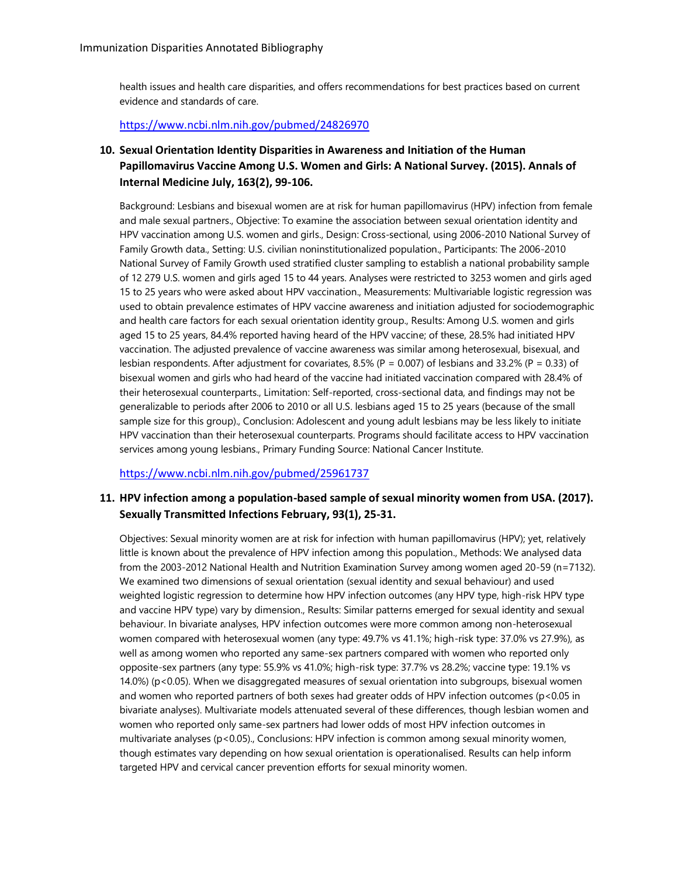health issues and health care disparities, and offers recommendations for best practices based on current evidence and standards of care.

<https://www.ncbi.nlm.nih.gov/pubmed/24826970>

## **10. Sexual Orientation Identity Disparities in Awareness and Initiation of the Human Papillomavirus Vaccine Among U.S. Women and Girls: A National Survey. (2015). Annals of Internal Medicine July, 163(2), 99-106.**

Background: Lesbians and bisexual women are at risk for human papillomavirus (HPV) infection from female and male sexual partners., Objective: To examine the association between sexual orientation identity and HPV vaccination among U.S. women and girls., Design: Cross-sectional, using 2006-2010 National Survey of Family Growth data., Setting: U.S. civilian noninstitutionalized population., Participants: The 2006-2010 National Survey of Family Growth used stratified cluster sampling to establish a national probability sample of 12 279 U.S. women and girls aged 15 to 44 years. Analyses were restricted to 3253 women and girls aged 15 to 25 years who were asked about HPV vaccination., Measurements: Multivariable logistic regression was used to obtain prevalence estimates of HPV vaccine awareness and initiation adjusted for sociodemographic and health care factors for each sexual orientation identity group., Results: Among U.S. women and girls aged 15 to 25 years, 84.4% reported having heard of the HPV vaccine; of these, 28.5% had initiated HPV vaccination. The adjusted prevalence of vaccine awareness was similar among heterosexual, bisexual, and lesbian respondents. After adjustment for covariates, 8.5% ( $P = 0.007$ ) of lesbians and 33.2% ( $P = 0.33$ ) of bisexual women and girls who had heard of the vaccine had initiated vaccination compared with 28.4% of their heterosexual counterparts., Limitation: Self-reported, cross-sectional data, and findings may not be generalizable to periods after 2006 to 2010 or all U.S. lesbians aged 15 to 25 years (because of the small sample size for this group)., Conclusion: Adolescent and young adult lesbians may be less likely to initiate HPV vaccination than their heterosexual counterparts. Programs should facilitate access to HPV vaccination services among young lesbians., Primary Funding Source: National Cancer Institute.

<https://www.ncbi.nlm.nih.gov/pubmed/25961737>

#### **11. HPV infection among a population-based sample of sexual minority women from USA. (2017). Sexually Transmitted Infections February, 93(1), 25-31.**

Objectives: Sexual minority women are at risk for infection with human papillomavirus (HPV); yet, relatively little is known about the prevalence of HPV infection among this population., Methods: We analysed data from the 2003-2012 National Health and Nutrition Examination Survey among women aged 20-59 (n=7132). We examined two dimensions of sexual orientation (sexual identity and sexual behaviour) and used weighted logistic regression to determine how HPV infection outcomes (any HPV type, high-risk HPV type and vaccine HPV type) vary by dimension., Results: Similar patterns emerged for sexual identity and sexual behaviour. In bivariate analyses, HPV infection outcomes were more common among non-heterosexual women compared with heterosexual women (any type: 49.7% vs 41.1%; high-risk type: 37.0% vs 27.9%), as well as among women who reported any same-sex partners compared with women who reported only opposite-sex partners (any type: 55.9% vs 41.0%; high-risk type: 37.7% vs 28.2%; vaccine type: 19.1% vs 14.0%) (p<0.05). When we disaggregated measures of sexual orientation into subgroups, bisexual women and women who reported partners of both sexes had greater odds of HPV infection outcomes (p<0.05 in bivariate analyses). Multivariate models attenuated several of these differences, though lesbian women and women who reported only same-sex partners had lower odds of most HPV infection outcomes in multivariate analyses (p<0.05)., Conclusions: HPV infection is common among sexual minority women, though estimates vary depending on how sexual orientation is operationalised. Results can help inform targeted HPV and cervical cancer prevention efforts for sexual minority women.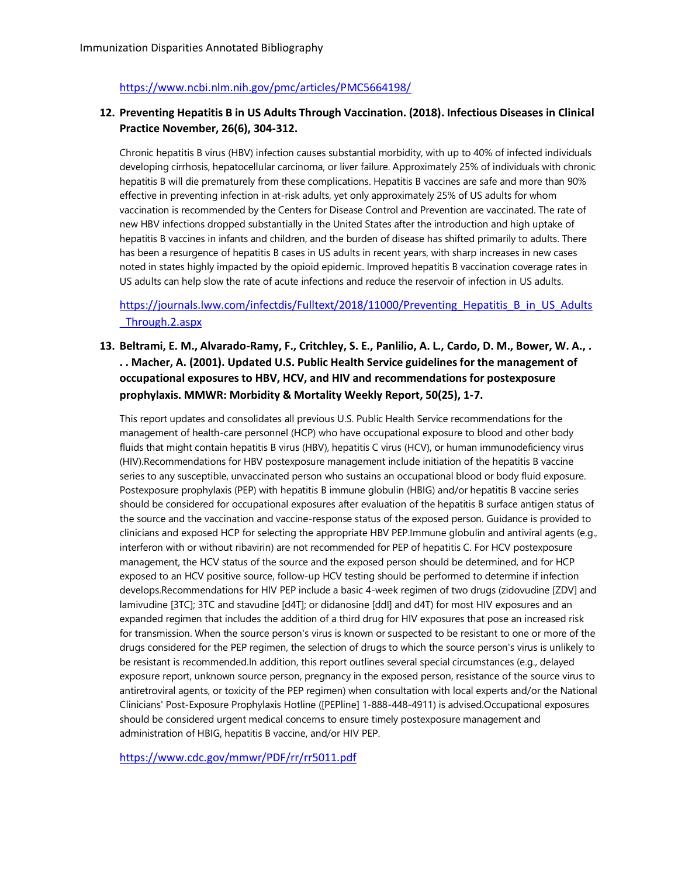#### <https://www.ncbi.nlm.nih.gov/pmc/articles/PMC5664198/>

#### **12. Preventing Hepatitis B in US Adults Through Vaccination. (2018). Infectious Diseases in Clinical Practice November, 26(6), 304-312.**

Chronic hepatitis B virus (HBV) infection causes substantial morbidity, with up to 40% of infected individuals developing cirrhosis, hepatocellular carcinoma, or liver failure. Approximately 25% of individuals with chronic hepatitis B will die prematurely from these complications. Hepatitis B vaccines are safe and more than 90% effective in preventing infection in at-risk adults, yet only approximately 25% of US adults for whom vaccination is recommended by the Centers for Disease Control and Prevention are vaccinated. The rate of new HBV infections dropped substantially in the United States after the introduction and high uptake of hepatitis B vaccines in infants and children, and the burden of disease has shifted primarily to adults. There has been a resurgence of hepatitis B cases in US adults in recent years, with sharp increases in new cases noted in states highly impacted by the opioid epidemic. Improved hepatitis B vaccination coverage rates in US adults can help slow the rate of acute infections and reduce the reservoir of infection in US adults.

https://journals.lww.com/infectdis/Fulltext/2018/11000/Preventing Hepatitis B in US Adults [\\_Through.2.aspx](https://journals.lww.com/infectdis/Fulltext/2018/11000/Preventing_Hepatitis_B_in_US_Adults_Through.2.aspx)

# **13. Beltrami, E. M., Alvarado-Ramy, F., Critchley, S. E., Panlilio, A. L., Cardo, D. M., Bower, W. A., . . . Macher, A. (2001). Updated U.S. Public Health Service guidelines for the management of occupational exposures to HBV, HCV, and HIV and recommendations for postexposure prophylaxis. MMWR: Morbidity & Mortality Weekly Report, 50(25), 1-7.**

This report updates and consolidates all previous U.S. Public Health Service recommendations for the management of health-care personnel (HCP) who have occupational exposure to blood and other body fluids that might contain hepatitis B virus (HBV), hepatitis C virus (HCV), or human immunodeficiency virus (HIV).Recommendations for HBV postexposure management include initiation of the hepatitis B vaccine series to any susceptible, unvaccinated person who sustains an occupational blood or body fluid exposure. Postexposure prophylaxis (PEP) with hepatitis B immune globulin (HBIG) and/or hepatitis B vaccine series should be considered for occupational exposures after evaluation of the hepatitis B surface antigen status of the source and the vaccination and vaccine-response status of the exposed person. Guidance is provided to clinicians and exposed HCP for selecting the appropriate HBV PEP.Immune globulin and antiviral agents (e.g., interferon with or without ribavirin) are not recommended for PEP of hepatitis C. For HCV postexposure management, the HCV status of the source and the exposed person should be determined, and for HCP exposed to an HCV positive source, follow-up HCV testing should be performed to determine if infection develops.Recommendations for HIV PEP include a basic 4-week regimen of two drugs (zidovudine [ZDV] and lamivudine [3TC]; 3TC and stavudine [d4T]; or didanosine [ddI] and d4T) for most HIV exposures and an expanded regimen that includes the addition of a third drug for HIV exposures that pose an increased risk for transmission. When the source person's virus is known or suspected to be resistant to one or more of the drugs considered for the PEP regimen, the selection of drugs to which the source person's virus is unlikely to be resistant is recommended.In addition, this report outlines several special circumstances (e.g., delayed exposure report, unknown source person, pregnancy in the exposed person, resistance of the source virus to antiretroviral agents, or toxicity of the PEP regimen) when consultation with local experts and/or the National Clinicians' Post-Exposure Prophylaxis Hotline ([PEPline] 1-888-448-4911) is advised.Occupational exposures should be considered urgent medical concerns to ensure timely postexposure management and administration of HBIG, hepatitis B vaccine, and/or HIV PEP.

<https://www.cdc.gov/mmwr/PDF/rr/rr5011.pdf>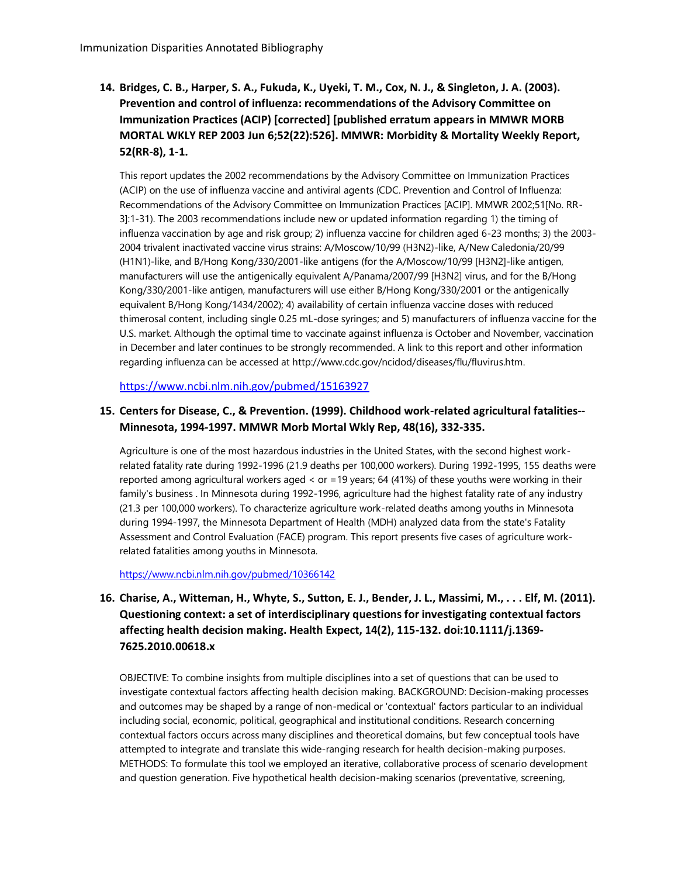**14. Bridges, C. B., Harper, S. A., Fukuda, K., Uyeki, T. M., Cox, N. J., & Singleton, J. A. (2003). Prevention and control of influenza: recommendations of the Advisory Committee on Immunization Practices (ACIP) [corrected] [published erratum appears in MMWR MORB MORTAL WKLY REP 2003 Jun 6;52(22):526]. MMWR: Morbidity & Mortality Weekly Report, 52(RR-8), 1-1.** 

This report updates the 2002 recommendations by the Advisory Committee on Immunization Practices (ACIP) on the use of influenza vaccine and antiviral agents (CDC. Prevention and Control of Influenza: Recommendations of the Advisory Committee on Immunization Practices [ACIP]. MMWR 2002;51[No. RR-3]:1-31). The 2003 recommendations include new or updated information regarding 1) the timing of influenza vaccination by age and risk group; 2) influenza vaccine for children aged 6-23 months; 3) the 2003- 2004 trivalent inactivated vaccine virus strains: A/Moscow/10/99 (H3N2)-like, A/New Caledonia/20/99 (H1N1)-like, and B/Hong Kong/330/2001-like antigens (for the A/Moscow/10/99 [H3N2]-like antigen, manufacturers will use the antigenically equivalent A/Panama/2007/99 [H3N2] virus, and for the B/Hong Kong/330/2001-like antigen, manufacturers will use either B/Hong Kong/330/2001 or the antigenically equivalent B/Hong Kong/1434/2002); 4) availability of certain influenza vaccine doses with reduced thimerosal content, including single 0.25 mL-dose syringes; and 5) manufacturers of influenza vaccine for the U.S. market. Although the optimal time to vaccinate against influenza is October and November, vaccination in December and later continues to be strongly recommended. A link to this report and other information regarding influenza can be accessed at [http://www.cdc.gov/ncidod/diseases/flu/fluvirus.htm.](http://www.cdc.gov/ncidod/diseases/flu/fluvirus.htm)

<https://www.ncbi.nlm.nih.gov/pubmed/15163927>

## **15. Centers for Disease, C., & Prevention. (1999). Childhood work-related agricultural fatalities-- Minnesota, 1994-1997. MMWR Morb Mortal Wkly Rep, 48(16), 332-335.**

Agriculture is one of the most hazardous industries in the United States, with the second highest workrelated fatality rate during 1992-1996 (21.9 deaths per 100,000 workers). During 1992-1995, 155 deaths were reported among agricultural workers aged < or =19 years; 64 (41%) of these youths were working in their family's business . In Minnesota during 1992-1996, agriculture had the highest fatality rate of any industry (21.3 per 100,000 workers). To characterize agriculture work-related deaths among youths in Minnesota during 1994-1997, the Minnesota Department of Health (MDH) analyzed data from the state's Fatality Assessment and Control Evaluation (FACE) program. This report presents five cases of agriculture workrelated fatalities among youths in Minnesota.

<https://www.ncbi.nlm.nih.gov/pubmed/10366142>

# **16. Charise, A., Witteman, H., Whyte, S., Sutton, E. J., Bender, J. L., Massimi, M., . . . Elf, M. (2011). Questioning context: a set of interdisciplinary questions for investigating contextual factors affecting health decision making. Health Expect, 14(2), 115-132. doi:10.1111/j.1369- 7625.2010.00618.x**

OBJECTIVE: To combine insights from multiple disciplines into a set of questions that can be used to investigate contextual factors affecting health decision making. BACKGROUND: Decision-making processes and outcomes may be shaped by a range of non-medical or 'contextual' factors particular to an individual including social, economic, political, geographical and institutional conditions. Research concerning contextual factors occurs across many disciplines and theoretical domains, but few conceptual tools have attempted to integrate and translate this wide-ranging research for health decision-making purposes. METHODS: To formulate this tool we employed an iterative, collaborative process of scenario development and question generation. Five hypothetical health decision-making scenarios (preventative, screening,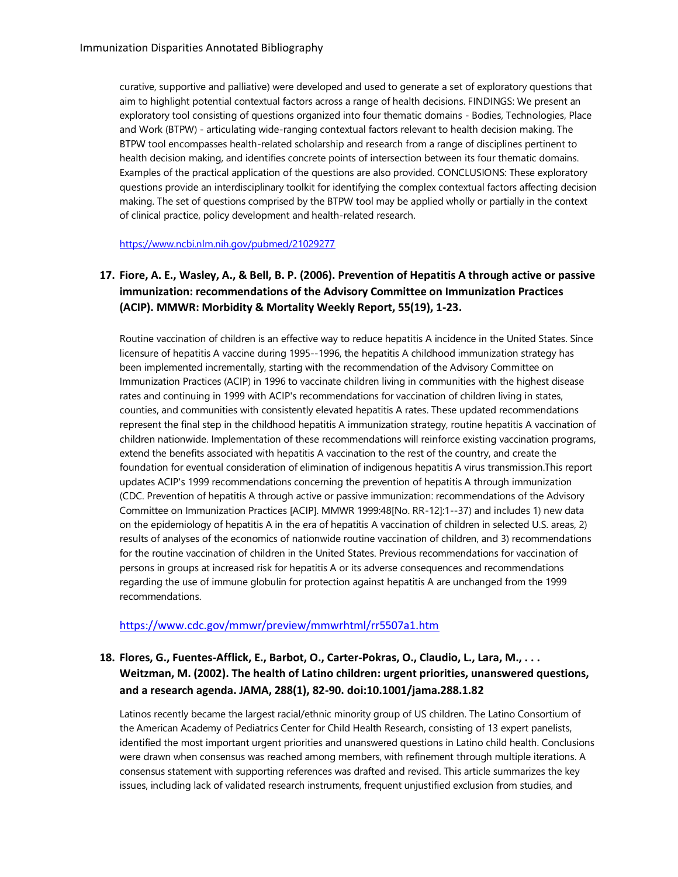curative, supportive and palliative) were developed and used to generate a set of exploratory questions that aim to highlight potential contextual factors across a range of health decisions. FINDINGS: We present an exploratory tool consisting of questions organized into four thematic domains - Bodies, Technologies, Place and Work (BTPW) - articulating wide-ranging contextual factors relevant to health decision making. The BTPW tool encompasses health-related scholarship and research from a range of disciplines pertinent to health decision making, and identifies concrete points of intersection between its four thematic domains. Examples of the practical application of the questions are also provided. CONCLUSIONS: These exploratory questions provide an interdisciplinary toolkit for identifying the complex contextual factors affecting decision making. The set of questions comprised by the BTPW tool may be applied wholly or partially in the context of clinical practice, policy development and health-related research.

<https://www.ncbi.nlm.nih.gov/pubmed/21029277>

# **17. Fiore, A. E., Wasley, A., & Bell, B. P. (2006). Prevention of Hepatitis A through active or passive immunization: recommendations of the Advisory Committee on Immunization Practices (ACIP). MMWR: Morbidity & Mortality Weekly Report, 55(19), 1-23.**

Routine vaccination of children is an effective way to reduce hepatitis A incidence in the United States. Since licensure of hepatitis A vaccine during 1995--1996, the hepatitis A childhood immunization strategy has been implemented incrementally, starting with the recommendation of the Advisory Committee on Immunization Practices (ACIP) in 1996 to vaccinate children living in communities with the highest disease rates and continuing in 1999 with ACIP's recommendations for vaccination of children living in states, counties, and communities with consistently elevated hepatitis A rates. These updated recommendations represent the final step in the childhood hepatitis A immunization strategy, routine hepatitis A vaccination of children nationwide. Implementation of these recommendations will reinforce existing vaccination programs, extend the benefits associated with hepatitis A vaccination to the rest of the country, and create the foundation for eventual consideration of elimination of indigenous hepatitis A virus transmission.This report updates ACIP's 1999 recommendations concerning the prevention of hepatitis A through immunization (CDC. Prevention of hepatitis A through active or passive immunization: recommendations of the Advisory Committee on Immunization Practices [ACIP]. MMWR 1999:48[No. RR-12]:1--37) and includes 1) new data on the epidemiology of hepatitis A in the era of hepatitis A vaccination of children in selected U.S. areas, 2) results of analyses of the economics of nationwide routine vaccination of children, and 3) recommendations for the routine vaccination of children in the United States. Previous recommendations for vaccination of persons in groups at increased risk for hepatitis A or its adverse consequences and recommendations regarding the use of immune globulin for protection against hepatitis A are unchanged from the 1999 recommendations.

<https://www.cdc.gov/mmwr/preview/mmwrhtml/rr5507a1.htm>

## **18. Flores, G., Fuentes-Afflick, E., Barbot, O., Carter-Pokras, O., Claudio, L., Lara, M., . . . Weitzman, M. (2002). The health of Latino children: urgent priorities, unanswered questions, and a research agenda. JAMA, 288(1), 82-90. doi:10.1001/jama.288.1.82**

Latinos recently became the largest racial/ethnic minority group of US children. The Latino Consortium of the American Academy of Pediatrics Center for Child Health Research, consisting of 13 expert panelists, identified the most important urgent priorities and unanswered questions in Latino child health. Conclusions were drawn when consensus was reached among members, with refinement through multiple iterations. A consensus statement with supporting references was drafted and revised. This article summarizes the key issues, including lack of validated research instruments, frequent unjustified exclusion from studies, and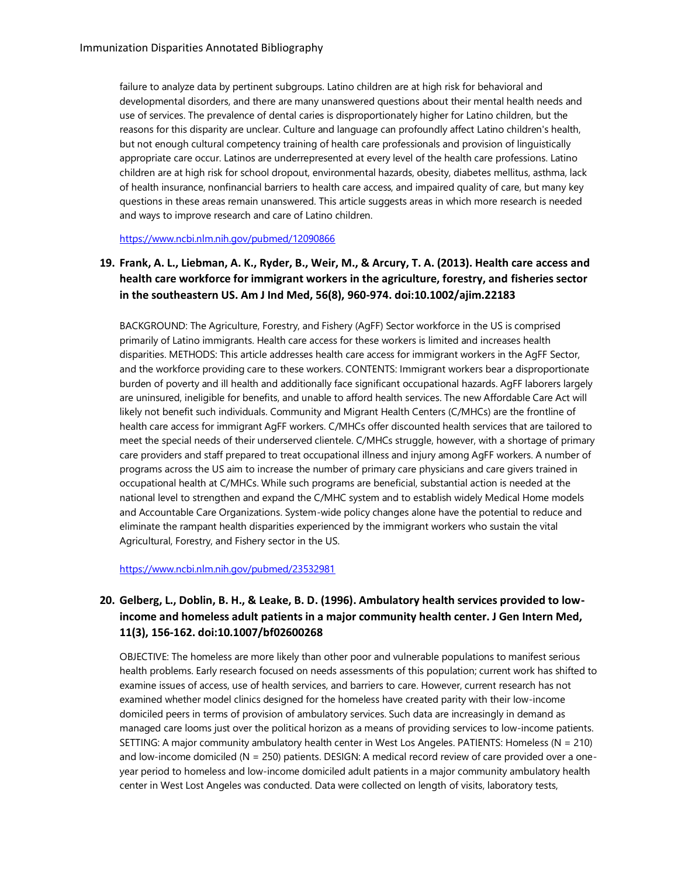failure to analyze data by pertinent subgroups. Latino children are at high risk for behavioral and developmental disorders, and there are many unanswered questions about their mental health needs and use of services. The prevalence of dental caries is disproportionately higher for Latino children, but the reasons for this disparity are unclear. Culture and language can profoundly affect Latino children's health, but not enough cultural competency training of health care professionals and provision of linguistically appropriate care occur. Latinos are underrepresented at every level of the health care professions. Latino children are at high risk for school dropout, environmental hazards, obesity, diabetes mellitus, asthma, lack of health insurance, nonfinancial barriers to health care access, and impaired quality of care, but many key questions in these areas remain unanswered. This article suggests areas in which more research is needed and ways to improve research and care of Latino children.

<https://www.ncbi.nlm.nih.gov/pubmed/12090866>

# **19. Frank, A. L., Liebman, A. K., Ryder, B., Weir, M., & Arcury, T. A. (2013). Health care access and health care workforce for immigrant workers in the agriculture, forestry, and fisheries sector in the southeastern US. Am J Ind Med, 56(8), 960-974. doi:10.1002/ajim.22183**

BACKGROUND: The Agriculture, Forestry, and Fishery (AgFF) Sector workforce in the US is comprised primarily of Latino immigrants. Health care access for these workers is limited and increases health disparities. METHODS: This article addresses health care access for immigrant workers in the AgFF Sector, and the workforce providing care to these workers. CONTENTS: Immigrant workers bear a disproportionate burden of poverty and ill health and additionally face significant occupational hazards. AgFF laborers largely are uninsured, ineligible for benefits, and unable to afford health services. The new Affordable Care Act will likely not benefit such individuals. Community and Migrant Health Centers (C/MHCs) are the frontline of health care access for immigrant AgFF workers. C/MHCs offer discounted health services that are tailored to meet the special needs of their underserved clientele. C/MHCs struggle, however, with a shortage of primary care providers and staff prepared to treat occupational illness and injury among AgFF workers. A number of programs across the US aim to increase the number of primary care physicians and care givers trained in occupational health at C/MHCs. While such programs are beneficial, substantial action is needed at the national level to strengthen and expand the C/MHC system and to establish widely Medical Home models and Accountable Care Organizations. System-wide policy changes alone have the potential to reduce and eliminate the rampant health disparities experienced by the immigrant workers who sustain the vital Agricultural, Forestry, and Fishery sector in the US.

<https://www.ncbi.nlm.nih.gov/pubmed/23532981>

# **20. Gelberg, L., Doblin, B. H., & Leake, B. D. (1996). Ambulatory health services provided to lowincome and homeless adult patients in a major community health center. J Gen Intern Med, 11(3), 156-162. doi:10.1007/bf02600268**

OBJECTIVE: The homeless are more likely than other poor and vulnerable populations to manifest serious health problems. Early research focused on needs assessments of this population; current work has shifted to examine issues of access, use of health services, and barriers to care. However, current research has not examined whether model clinics designed for the homeless have created parity with their low-income domiciled peers in terms of provision of ambulatory services. Such data are increasingly in demand as managed care looms just over the political horizon as a means of providing services to low-income patients. SETTING: A major community ambulatory health center in West Los Angeles. PATIENTS: Homeless (N = 210) and low-income domiciled (N = 250) patients. DESIGN: A medical record review of care provided over a oneyear period to homeless and low-income domiciled adult patients in a major community ambulatory health center in West Lost Angeles was conducted. Data were collected on length of visits, laboratory tests,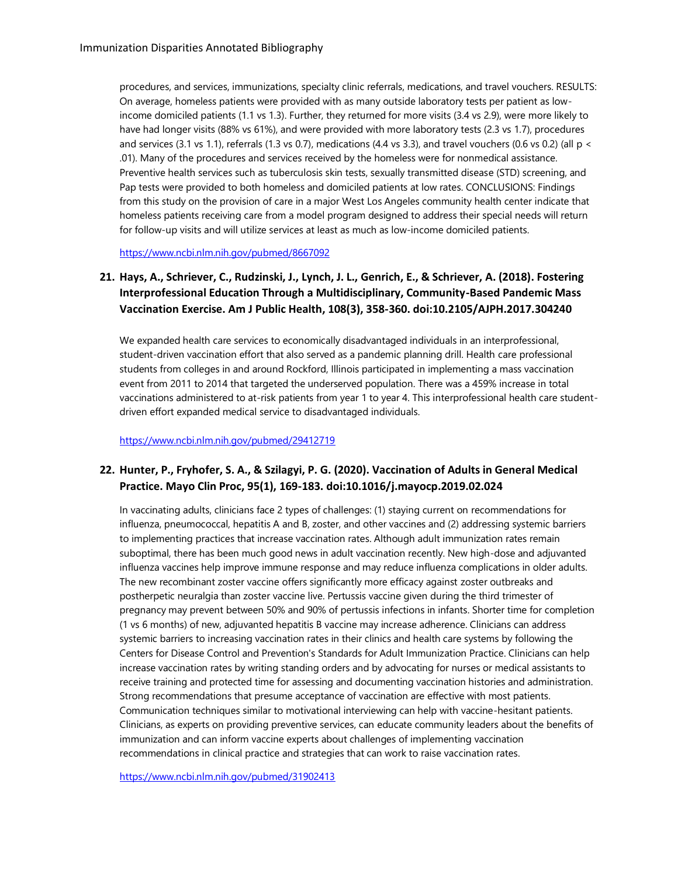procedures, and services, immunizations, specialty clinic referrals, medications, and travel vouchers. RESULTS: On average, homeless patients were provided with as many outside laboratory tests per patient as lowincome domiciled patients (1.1 vs 1.3). Further, they returned for more visits (3.4 vs 2.9), were more likely to have had longer visits (88% vs 61%), and were provided with more laboratory tests (2.3 vs 1.7), procedures and services (3.1 vs 1.1), referrals (1.3 vs 0.7), medications (4.4 vs 3.3), and travel vouchers (0.6 vs 0.2) (all  $p \lt$ .01). Many of the procedures and services received by the homeless were for nonmedical assistance. Preventive health services such as tuberculosis skin tests, sexually transmitted disease (STD) screening, and Pap tests were provided to both homeless and domiciled patients at low rates. CONCLUSIONS: Findings from this study on the provision of care in a major West Los Angeles community health center indicate that homeless patients receiving care from a model program designed to address their special needs will return for follow-up visits and will utilize services at least as much as low-income domiciled patients.

<https://www.ncbi.nlm.nih.gov/pubmed/8667092>

## **21. Hays, A., Schriever, C., Rudzinski, J., Lynch, J. L., Genrich, E., & Schriever, A. (2018). Fostering Interprofessional Education Through a Multidisciplinary, Community-Based Pandemic Mass Vaccination Exercise. Am J Public Health, 108(3), 358-360. doi:10.2105/AJPH.2017.304240**

We expanded health care services to economically disadvantaged individuals in an interprofessional, student-driven vaccination effort that also served as a pandemic planning drill. Health care professional students from colleges in and around Rockford, Illinois participated in implementing a mass vaccination event from 2011 to 2014 that targeted the underserved population. There was a 459% increase in total vaccinations administered to at-risk patients from year 1 to year 4. This interprofessional health care studentdriven effort expanded medical service to disadvantaged individuals.

<https://www.ncbi.nlm.nih.gov/pubmed/29412719>

## **22. Hunter, P., Fryhofer, S. A., & Szilagyi, P. G. (2020). Vaccination of Adults in General Medical Practice. Mayo Clin Proc, 95(1), 169-183. doi:10.1016/j.mayocp.2019.02.024**

In vaccinating adults, clinicians face 2 types of challenges: (1) staying current on recommendations for influenza, pneumococcal, hepatitis A and B, zoster, and other vaccines and (2) addressing systemic barriers to implementing practices that increase vaccination rates. Although adult immunization rates remain suboptimal, there has been much good news in adult vaccination recently. New high-dose and adjuvanted influenza vaccines help improve immune response and may reduce influenza complications in older adults. The new recombinant zoster vaccine offers significantly more efficacy against zoster outbreaks and postherpetic neuralgia than zoster vaccine live. Pertussis vaccine given during the third trimester of pregnancy may prevent between 50% and 90% of pertussis infections in infants. Shorter time for completion (1 vs 6 months) of new, adjuvanted hepatitis B vaccine may increase adherence. Clinicians can address systemic barriers to increasing vaccination rates in their clinics and health care systems by following the Centers for Disease Control and Prevention's Standards for Adult Immunization Practice. Clinicians can help increase vaccination rates by writing standing orders and by advocating for nurses or medical assistants to receive training and protected time for assessing and documenting vaccination histories and administration. Strong recommendations that presume acceptance of vaccination are effective with most patients. Communication techniques similar to motivational interviewing can help with vaccine-hesitant patients. Clinicians, as experts on providing preventive services, can educate community leaders about the benefits of immunization and can inform vaccine experts about challenges of implementing vaccination recommendations in clinical practice and strategies that can work to raise vaccination rates.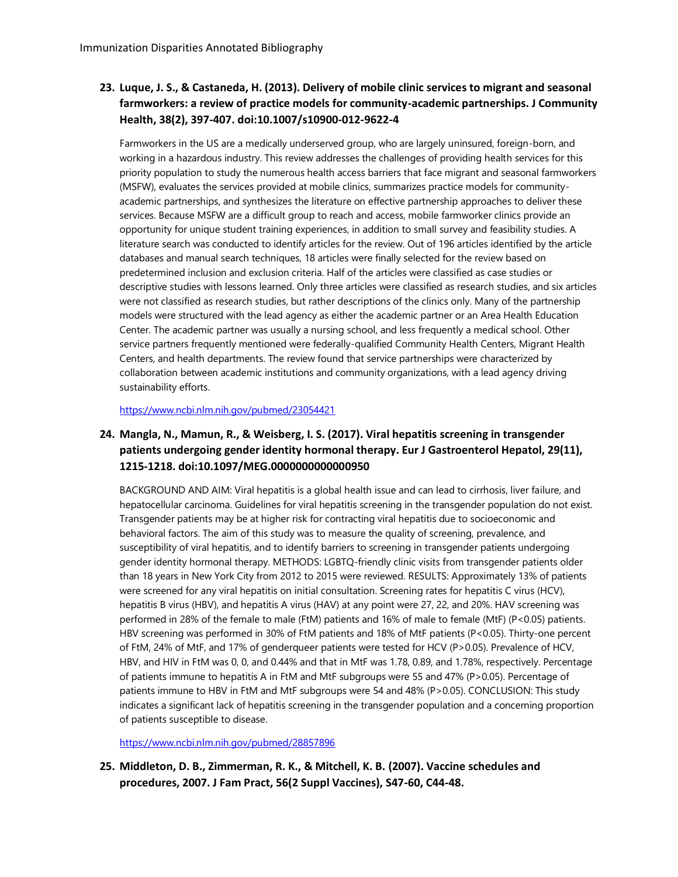# **23. Luque, J. S., & Castaneda, H. (2013). Delivery of mobile clinic services to migrant and seasonal farmworkers: a review of practice models for community-academic partnerships. J Community Health, 38(2), 397-407. doi:10.1007/s10900-012-9622-4**

Farmworkers in the US are a medically underserved group, who are largely uninsured, foreign-born, and working in a hazardous industry. This review addresses the challenges of providing health services for this priority population to study the numerous health access barriers that face migrant and seasonal farmworkers (MSFW), evaluates the services provided at mobile clinics, summarizes practice models for communityacademic partnerships, and synthesizes the literature on effective partnership approaches to deliver these services. Because MSFW are a difficult group to reach and access, mobile farmworker clinics provide an opportunity for unique student training experiences, in addition to small survey and feasibility studies. A literature search was conducted to identify articles for the review. Out of 196 articles identified by the article databases and manual search techniques, 18 articles were finally selected for the review based on predetermined inclusion and exclusion criteria. Half of the articles were classified as case studies or descriptive studies with lessons learned. Only three articles were classified as research studies, and six articles were not classified as research studies, but rather descriptions of the clinics only. Many of the partnership models were structured with the lead agency as either the academic partner or an Area Health Education Center. The academic partner was usually a nursing school, and less frequently a medical school. Other service partners frequently mentioned were federally-qualified Community Health Centers, Migrant Health Centers, and health departments. The review found that service partnerships were characterized by collaboration between academic institutions and community organizations, with a lead agency driving sustainability efforts.

<https://www.ncbi.nlm.nih.gov/pubmed/23054421>

# **24. Mangla, N., Mamun, R., & Weisberg, I. S. (2017). Viral hepatitis screening in transgender patients undergoing gender identity hormonal therapy. Eur J Gastroenterol Hepatol, 29(11), 1215-1218. doi:10.1097/MEG.0000000000000950**

BACKGROUND AND AIM: Viral hepatitis is a global health issue and can lead to cirrhosis, liver failure, and hepatocellular carcinoma. Guidelines for viral hepatitis screening in the transgender population do not exist. Transgender patients may be at higher risk for contracting viral hepatitis due to socioeconomic and behavioral factors. The aim of this study was to measure the quality of screening, prevalence, and susceptibility of viral hepatitis, and to identify barriers to screening in transgender patients undergoing gender identity hormonal therapy. METHODS: LGBTQ-friendly clinic visits from transgender patients older than 18 years in New York City from 2012 to 2015 were reviewed. RESULTS: Approximately 13% of patients were screened for any viral hepatitis on initial consultation. Screening rates for hepatitis C virus (HCV), hepatitis B virus (HBV), and hepatitis A virus (HAV) at any point were 27, 22, and 20%. HAV screening was performed in 28% of the female to male (FtM) patients and 16% of male to female (MtF) (P<0.05) patients. HBV screening was performed in 30% of FtM patients and 18% of MtF patients (P<0.05). Thirty-one percent of FtM, 24% of MtF, and 17% of genderqueer patients were tested for HCV (P>0.05). Prevalence of HCV, HBV, and HIV in FtM was 0, 0, and 0.44% and that in MtF was 1.78, 0.89, and 1.78%, respectively. Percentage of patients immune to hepatitis A in FtM and MtF subgroups were 55 and 47% (P>0.05). Percentage of patients immune to HBV in FtM and MtF subgroups were 54 and 48% (P>0.05). CONCLUSION: This study indicates a significant lack of hepatitis screening in the transgender population and a concerning proportion of patients susceptible to disease.

<https://www.ncbi.nlm.nih.gov/pubmed/28857896>

**25. Middleton, D. B., Zimmerman, R. K., & Mitchell, K. B. (2007). Vaccine schedules and procedures, 2007. J Fam Pract, 56(2 Suppl Vaccines), S47-60, C44-48.**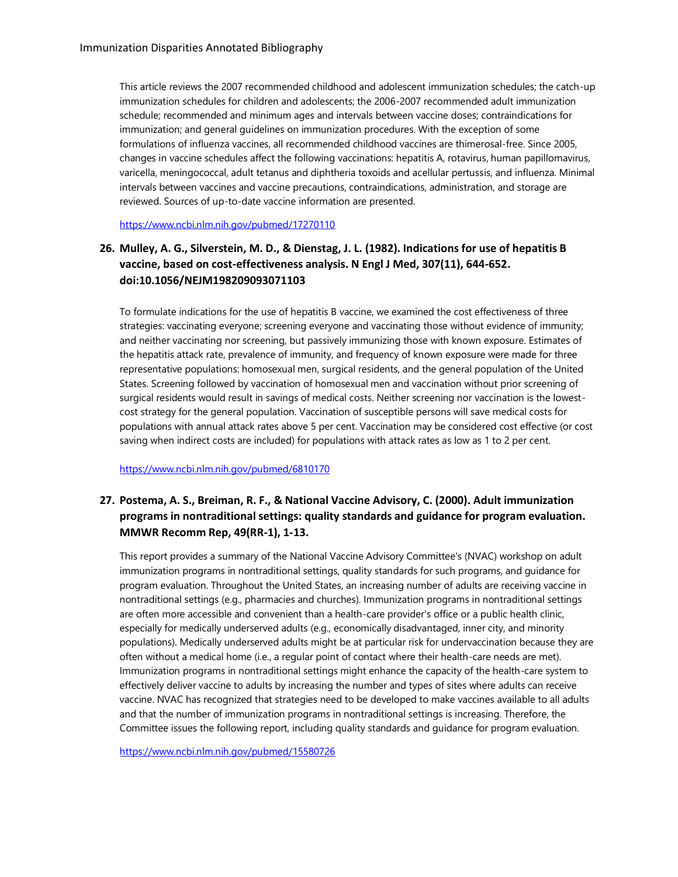This article reviews the 2007 recommended childhood and adolescent immunization schedules; the catch-up immunization schedules for children and adolescents; the 2006-2007 recommended adult immunization schedule; recommended and minimum ages and intervals between vaccine doses; contraindications for immunization; and general guidelines on immunization procedures. With the exception of some formulations of influenza vaccines, all recommended childhood vaccines are thimerosal-free. Since 2005, changes in vaccine schedules affect the following vaccinations: hepatitis A, rotavirus, human papillomavirus, varicella, meningococcal, adult tetanus and diphtheria toxoids and acellular pertussis, and influenza. Minimal intervals between vaccines and vaccine precautions, contraindications, administration, and storage are reviewed. Sources of up-to-date vaccine information are presented.

<https://www.ncbi.nlm.nih.gov/pubmed/17270110>

## **26. Mulley, A. G., Silverstein, M. D., & Dienstag, J. L. (1982). Indications for use of hepatitis B vaccine, based on cost-effectiveness analysis. N Engl J Med, 307(11), 644-652. doi:10.1056/NEJM198209093071103**

To formulate indications for the use of hepatitis B vaccine, we examined the cost effectiveness of three strategies: vaccinating everyone; screening everyone and vaccinating those without evidence of immunity; and neither vaccinating nor screening, but passively immunizing those with known exposure. Estimates of the hepatitis attack rate, prevalence of immunity, and frequency of known exposure were made for three representative populations: homosexual men, surgical residents, and the general population of the United States. Screening followed by vaccination of homosexual men and vaccination without prior screening of surgical residents would result in savings of medical costs. Neither screening nor vaccination is the lowestcost strategy for the general population. Vaccination of susceptible persons will save medical costs for populations with annual attack rates above 5 per cent. Vaccination may be considered cost effective (or cost saving when indirect costs are included) for populations with attack rates as low as 1 to 2 per cent.

<https://www.ncbi.nlm.nih.gov/pubmed/6810170>

# **27. Postema, A. S., Breiman, R. F., & National Vaccine Advisory, C. (2000). Adult immunization programs in nontraditional settings: quality standards and guidance for program evaluation. MMWR Recomm Rep, 49(RR-1), 1-13.**

This report provides a summary of the National Vaccine Advisory Committee's (NVAC) workshop on adult immunization programs in nontraditional settings, quality standards for such programs, and guidance for program evaluation. Throughout the United States, an increasing number of adults are receiving vaccine in nontraditional settings (e.g., pharmacies and churches). Immunization programs in nontraditional settings are often more accessible and convenient than a health-care provider's office or a public health clinic, especially for medically underserved adults (e.g., economically disadvantaged, inner city, and minority populations). Medically underserved adults might be at particular risk for undervaccination because they are often without a medical home (i.e., a regular point of contact where their health-care needs are met). Immunization programs in nontraditional settings might enhance the capacity of the health-care system to effectively deliver vaccine to adults by increasing the number and types of sites where adults can receive vaccine. NVAC has recognized that strategies need to be developed to make vaccines available to all adults and that the number of immunization programs in nontraditional settings is increasing. Therefore, the Committee issues the following report, including quality standards and guidance for program evaluation.